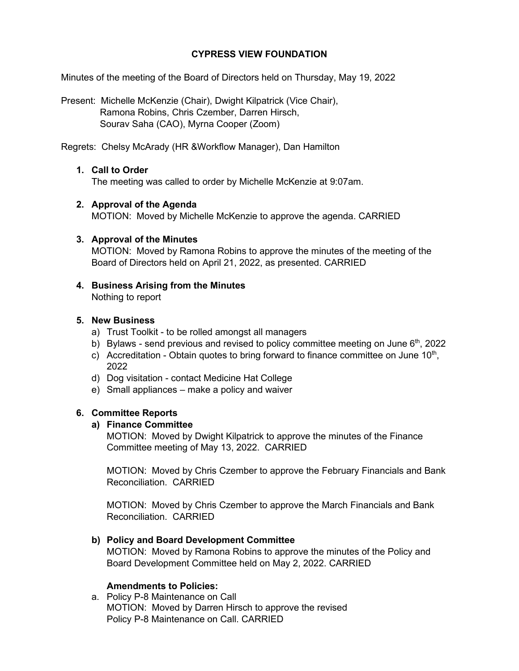# **CYPRESS VIEW FOUNDATION**

Minutes of the meeting of the Board of Directors held on Thursday, May 19, 2022

Present: Michelle McKenzie (Chair), Dwight Kilpatrick (Vice Chair), Ramona Robins, Chris Czember, Darren Hirsch, Sourav Saha (CAO), Myrna Cooper (Zoom)

Regrets: Chelsy McArady (HR &Workflow Manager), Dan Hamilton

# **1. Call to Order**

The meeting was called to order by Michelle McKenzie at 9:07am.

## **2. Approval of the Agenda**

MOTION: Moved by Michelle McKenzie to approve the agenda. CARRIED

## **3. Approval of the Minutes**

MOTION: Moved by Ramona Robins to approve the minutes of the meeting of the Board of Directors held on April 21, 2022, as presented. CARRIED

**4. Business Arising from the Minutes** Nothing to report

## **5. New Business**

- a) Trust Toolkit to be rolled amongst all managers
- b) Bylaws send previous and revised to policy committee meeting on June  $6<sup>th</sup>$ , 2022
- c) Accreditation Obtain quotes to bring forward to finance committee on June  $10<sup>th</sup>$ , 2022
- d) Dog visitation contact Medicine Hat College
- e) Small appliances make a policy and waiver

## **6. Committee Reports**

#### **a) Finance Committee**

MOTION: Moved by Dwight Kilpatrick to approve the minutes of the Finance Committee meeting of May 13, 2022. CARRIED

MOTION: Moved by Chris Czember to approve the February Financials and Bank Reconciliation. CARRIED

MOTION: Moved by Chris Czember to approve the March Financials and Bank Reconciliation. CARRIED

## **b) Policy and Board Development Committee**

MOTION: Moved by Ramona Robins to approve the minutes of the Policy and Board Development Committee held on May 2, 2022. CARRIED

## **Amendments to Policies:**

a. Policy P-8 Maintenance on Call MOTION: Moved by Darren Hirsch to approve the revised Policy P-8 Maintenance on Call. CARRIED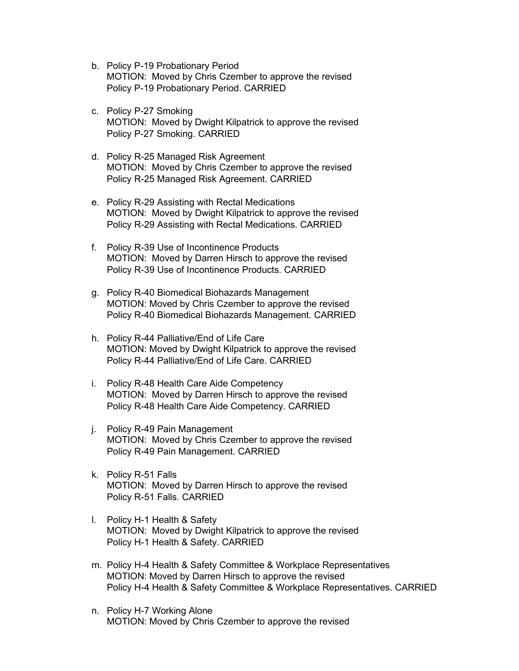- b. Policy P-19 Probationary Period MOTION: Moved by Chris Czember to approve the revised Policy P-19 Probationary Period. CARRIED
- c. Policy P-27 Smoking MOTION: Moved by Dwight Kilpatrick to approve the revised Policy P-27 Smoking. CARRIED
- d. Policy R-25 Managed Risk Agreement MOTION: Moved by Chris Czember to approve the revised Policy R-25 Managed Risk Agreement. CARRIED
- e. Policy R-29 Assisting with Rectal Medications MOTION: Moved by Dwight Kilpatrick to approve the revised Policy R-29 Assisting with Rectal Medications. CARRIED
- f. Policy R-39 Use of Incontinence Products MOTION: Moved by Darren Hirsch to approve the revised Policy R-39 Use of Incontinence Products. CARRIED
- g. Policy R-40 Biomedical Biohazards Management MOTION: Moved by Chris Czember to approve the revised Policy R-40 Biomedical Biohazards Management. CARRIED
- h. Policy R-44 Palliative/End of Life Care MOTION: Moved by Dwight Kilpatrick to approve the revised Policy R-44 Palliative/End of Life Care. CARRIED
- i. Policy R-48 Health Care Aide Competency MOTION: Moved by Darren Hirsch to approve the revised Policy R-48 Health Care Aide Competency. CARRIED
- j. Policy R-49 Pain Management MOTION: Moved by Chris Czember to approve the revised Policy R-49 Pain Management. CARRIED
- k. Policy R-51 Falls MOTION: Moved by Darren Hirsch to approve the revised Policy R-51 Falls. CARRIED
- l. Policy H-1 Health & Safety MOTION: Moved by Dwight Kilpatrick to approve the revised Policy H-1 Health & Safety. CARRIED
- m. Policy H-4 Health & Safety Committee & Workplace Representatives MOTION: Moved by Darren Hirsch to approve the revised Policy H-4 Health & Safety Committee & Workplace Representatives. CARRIED
- n. Policy H-7 Working Alone MOTION: Moved by Chris Czember to approve the revised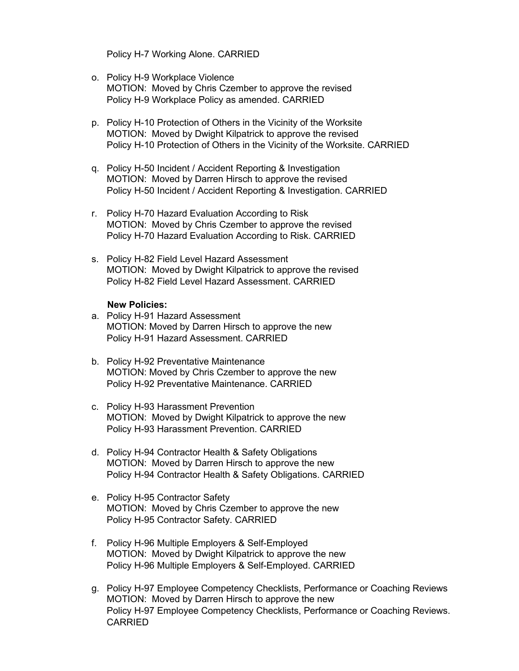Policy H-7 Working Alone. CARRIED

- o. Policy H-9 Workplace Violence MOTION: Moved by Chris Czember to approve the revised Policy H-9 Workplace Policy as amended. CARRIED
- p. Policy H-10 Protection of Others in the Vicinity of the Worksite MOTION: Moved by Dwight Kilpatrick to approve the revised Policy H-10 Protection of Others in the Vicinity of the Worksite. CARRIED
- q. Policy H-50 Incident / Accident Reporting & Investigation MOTION: Moved by Darren Hirsch to approve the revised Policy H-50 Incident / Accident Reporting & Investigation. CARRIED
- r. Policy H-70 Hazard Evaluation According to Risk MOTION: Moved by Chris Czember to approve the revised Policy H-70 Hazard Evaluation According to Risk. CARRIED
- s. Policy H-82 Field Level Hazard Assessment MOTION: Moved by Dwight Kilpatrick to approve the revised Policy H-82 Field Level Hazard Assessment. CARRIED

#### **New Policies:**

- a. Policy H-91 Hazard Assessment MOTION: Moved by Darren Hirsch to approve the new Policy H-91 Hazard Assessment. CARRIED
- b. Policy H-92 Preventative Maintenance MOTION: Moved by Chris Czember to approve the new Policy H-92 Preventative Maintenance. CARRIED
- c. Policy H-93 Harassment Prevention MOTION: Moved by Dwight Kilpatrick to approve the new Policy H-93 Harassment Prevention. CARRIED
- d. Policy H-94 Contractor Health & Safety Obligations MOTION: Moved by Darren Hirsch to approve the new Policy H-94 Contractor Health & Safety Obligations. CARRIED
- e. Policy H-95 Contractor Safety MOTION: Moved by Chris Czember to approve the new Policy H-95 Contractor Safety. CARRIED
- f. Policy H-96 Multiple Employers & Self-Employed MOTION: Moved by Dwight Kilpatrick to approve the new Policy H-96 Multiple Employers & Self-Employed. CARRIED
- g. Policy H-97 Employee Competency Checklists, Performance or Coaching Reviews MOTION: Moved by Darren Hirsch to approve the new Policy H-97 Employee Competency Checklists, Performance or Coaching Reviews. CARRIED